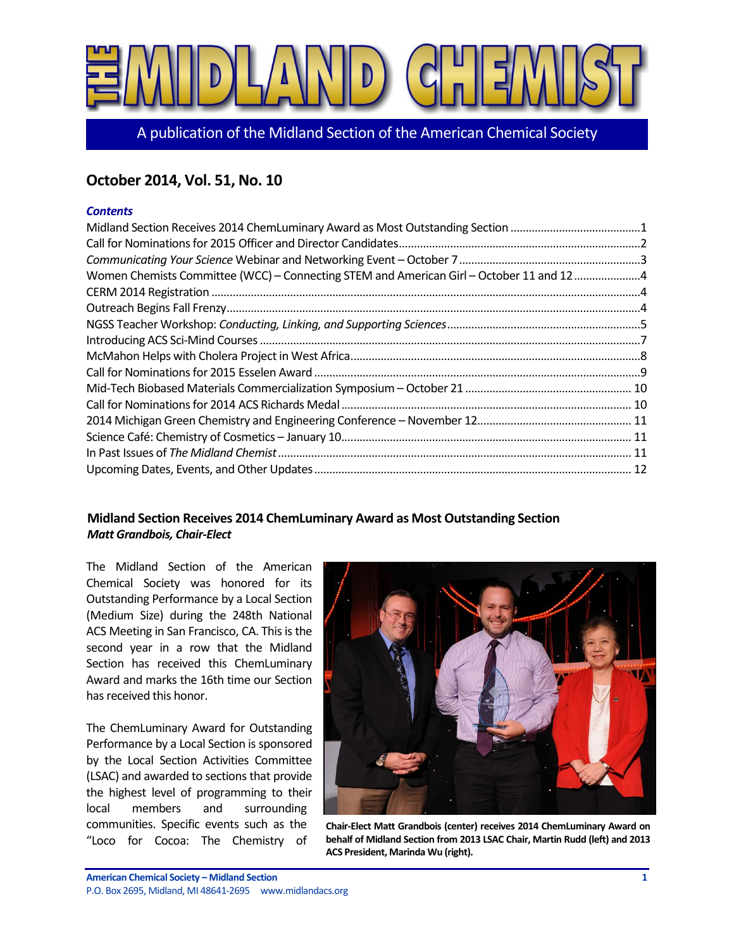

A publication of the Midland Section of the American Chemical Society

# **October 2014, Vol. 51, No. 10**

#### *Contents*

| Women Chemists Committee (WCC) - Connecting STEM and American Girl - October 11 and 124 |  |
|-----------------------------------------------------------------------------------------|--|
|                                                                                         |  |
|                                                                                         |  |
|                                                                                         |  |
|                                                                                         |  |
|                                                                                         |  |
|                                                                                         |  |
|                                                                                         |  |
|                                                                                         |  |
|                                                                                         |  |
|                                                                                         |  |
|                                                                                         |  |
|                                                                                         |  |

# <span id="page-0-0"></span>**Midland Section Receives 2014 ChemLuminary Award as Most Outstanding Section** *Matt Grandbois, Chair-Elect*

The Midland Section of the American Chemical Society was honored for its Outstanding Performance by a Local Section (Medium Size) during the 248th National ACS Meeting in San Francisco, CA. This is the second year in a row that the Midland Section has received this ChemLuminary Award and marks the 16th time our Section has received this honor.

The ChemLuminary Award for Outstanding Performance by a Local Section is sponsored by the Local Section Activities Committee (LSAC) and awarded to sections that provide the highest level of programming to their local members and surrounding communities. Specific events such as the "Loco for Cocoa: The Chemistry of



**Chair-Elect Matt Grandbois (center) receives 2014 ChemLuminary Award on behalf of Midland Section from 2013 LSAC Chair, Martin Rudd (left) and 2013 ACS President, Marinda Wu (right).**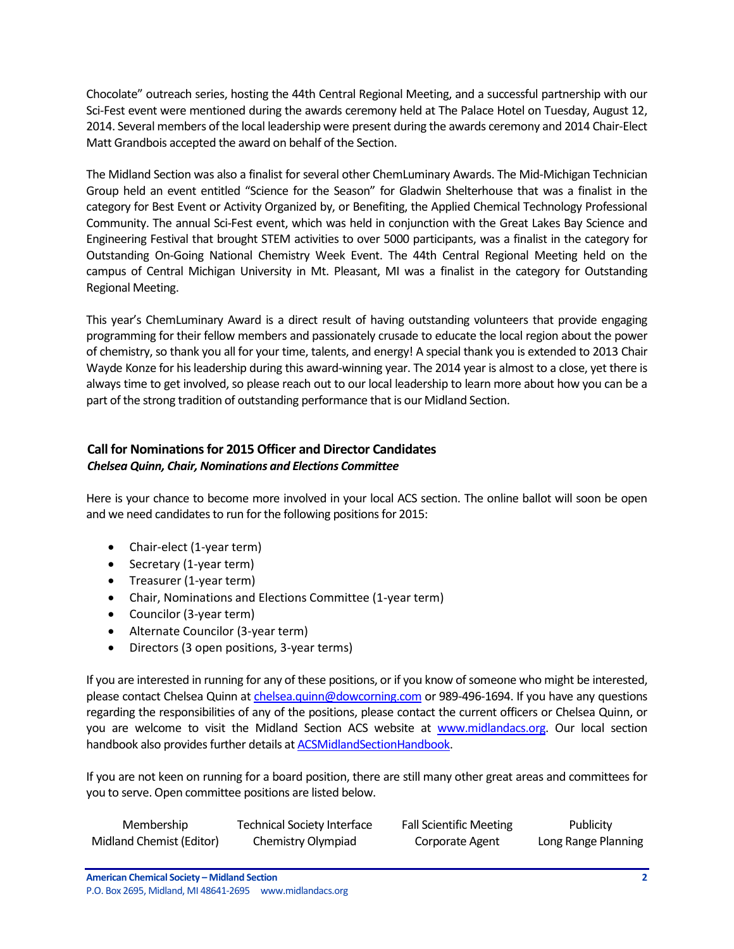Chocolate" outreach series, hosting the 44th Central Regional Meeting, and a successful partnership with our Sci-Fest event were mentioned during the awards ceremony held at The Palace Hotel on Tuesday, August 12, 2014. Several members of the local leadership were present during the awards ceremony and 2014 Chair-Elect Matt Grandbois accepted the award on behalf of the Section.

The Midland Section was also a finalist for several other ChemLuminary Awards. The Mid-Michigan Technician Group held an event entitled "Science for the Season" for Gladwin Shelterhouse that was a finalist in the category for Best Event or Activity Organized by, or Benefiting, the Applied Chemical Technology Professional Community. The annual Sci-Fest event, which was held in conjunction with the Great Lakes Bay Science and Engineering Festival that brought STEM activities to over 5000 participants, was a finalist in the category for Outstanding On-Going National Chemistry Week Event. The 44th Central Regional Meeting held on the campus of Central Michigan University in Mt. Pleasant, MI was a finalist in the category for Outstanding Regional Meeting.

This year's ChemLuminary Award is a direct result of having outstanding volunteers that provide engaging programming for their fellow members and passionately crusade to educate the local region about the power of chemistry, so thank you all for your time, talents, and energy! A special thank you is extended to 2013 Chair Wayde Konze for his leadership during this award-winning year. The 2014 year is almost to a close, yet there is always time to get involved, so please reach out to our local leadership to learn more about how you can be a part of the strong tradition of outstanding performance that is our Midland Section.

# <span id="page-1-0"></span>**Call for Nominations for 2015 Officer and Director Candidates** *Chelsea Quinn, Chair, Nominations and Elections Committee*

Here is your chance to become more involved in your local ACS section. The online ballot will soon be open and we need candidates to run for the following positions for 2015:

- Chair-elect (1-year term)
- Secretary (1-year term)
- Treasurer (1-year term)
- Chair, Nominations and Elections Committee (1-year term)
- Councilor (3-year term)
- Alternate Councilor (3-year term)
- Directors (3 open positions, 3-year terms)

If you are interested in running for any of these positions, or if you know of someone who might be interested, please contact Chelsea Quinn at [chelsea.quinn@dowcorning.com](mailto:chelsea.quinn@dowcorning.com) or 989-496-1694. If you have any questions regarding the responsibilities of any of the positions, please contact the current officers or Chelsea Quinn, or you are welcome to visit the Midland Section ACS website at [www.midlandacs.org.](http://www.midlandacs.org/) Our local section handbook also provides further details at **ACSMidlandSectionHandbook**.

If you are not keen on running for a board position, there are still many other great areas and committees for you to serve. Open committee positions are listed below.

| Membership               | <b>Technical Society Interface</b> | <b>Fall Scientific Meeting</b> | Publicity           |
|--------------------------|------------------------------------|--------------------------------|---------------------|
| Midland Chemist (Editor) | Chemistry Olympiad                 | Corporate Agent                | Long Range Planning |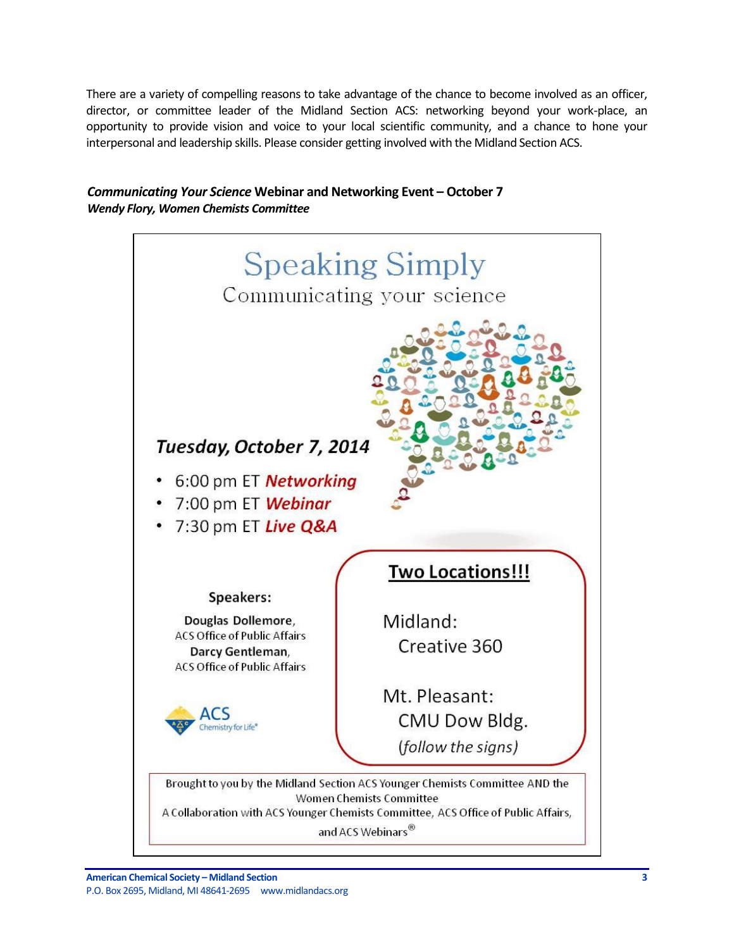There are a variety of compelling reasons to take advantage of the chance to become involved as an officer, director, or committee leader of the Midland Section ACS: networking beyond your work-place, an opportunity to provide vision and voice to your local scientific community, and a chance to hone your interpersonal and leadership skills. Please consider getting involved with the Midland Section ACS.

# <span id="page-2-0"></span>*Communicating Your Science* **Webinar and Networking Event – October 7** *Wendy Flory, Women Chemists Committee*

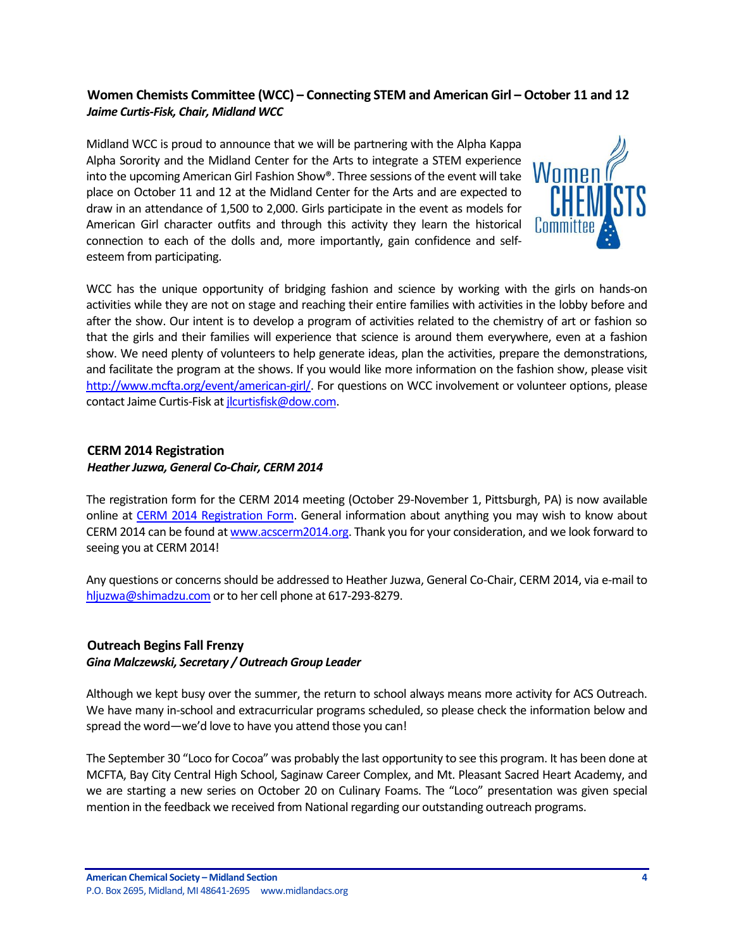# <span id="page-3-0"></span>**Women Chemists Committee (WCC) – Connecting STEM and American Girl – October 11 and 12** *Jaime Curtis-Fisk, Chair, Midland WCC*

Midland WCC is proud to announce that we will be partnering with the Alpha Kappa Alpha Sorority and the Midland Center for the Arts to integrate a STEM experience into the upcoming American Girl Fashion Show®. Three sessions of the event will take place on October 11 and 12 at the Midland Center for the Arts and are expected to draw in an attendance of 1,500 to 2,000. Girls participate in the event as models for American Girl character outfits and through this activity they learn the historical connection to each of the dolls and, more importantly, gain confidence and selfesteem from participating.



WCC has the unique opportunity of bridging fashion and science by working with the girls on hands-on activities while they are not on stage and reaching their entire families with activities in the lobby before and after the show. Our intent is to develop a program of activities related to the chemistry of art or fashion so that the girls and their families will experience that science is around them everywhere, even at a fashion show. We need plenty of volunteers to help generate ideas, plan the activities, prepare the demonstrations, and facilitate the program at the shows. If you would like more information on the fashion show, please visit [http://www.mcfta.org/event/american-girl/.](http://www.mcfta.org/event/american-girl/) For questions on WCC involvement or volunteer options, please contact Jaime Curtis-Fisk at *jlcurtisfisk@dow.com.* 

# <span id="page-3-1"></span>**CERM 2014 Registration**

#### *Heather Juzwa, General Co-Chair, CERM 2014*

The registration form for the CERM 2014 meeting (October 29-November 1, Pittsburgh, PA) is now available online at [CERM 2014 Registration Form.](http://www.pittsburghacs.org/national/wp-content/uploads/2012/10/CERM-Final-Registration-Form-with-Rum-3-17-141.pdf) General information about anything you may wish to know about CERM 2014 can be found at [www.acscerm2014.org.](http://www.acscerm2014.org/) Thank you for your consideration, and we look forward to seeing you at CERM 2014!

Any questions or concerns should be addressed to Heather Juzwa, General Co-Chair, CERM 2014, via e-mail to [hljuzwa@shimadzu.com](mailto:hljuzwa@shimadzu.com) or to her cell phone at 617-293-8279.

# <span id="page-3-2"></span>**Outreach Begins Fall Frenzy**

#### *Gina Malczewski, Secretary / Outreach Group Leader*

Although we kept busy over the summer, the return to school always means more activity for ACS Outreach. We have many in-school and extracurricular programs scheduled, so please check the information below and spread the word—we'd love to have you attend those you can!

The September 30 "Loco for Cocoa" was probably the last opportunity to see this program. It has been done at MCFTA, Bay City Central High School, Saginaw Career Complex, and Mt. Pleasant Sacred Heart Academy, and we are starting a new series on October 20 on Culinary Foams. The "Loco" presentation was given special mention in the feedback we received from National regarding our outstanding outreach programs.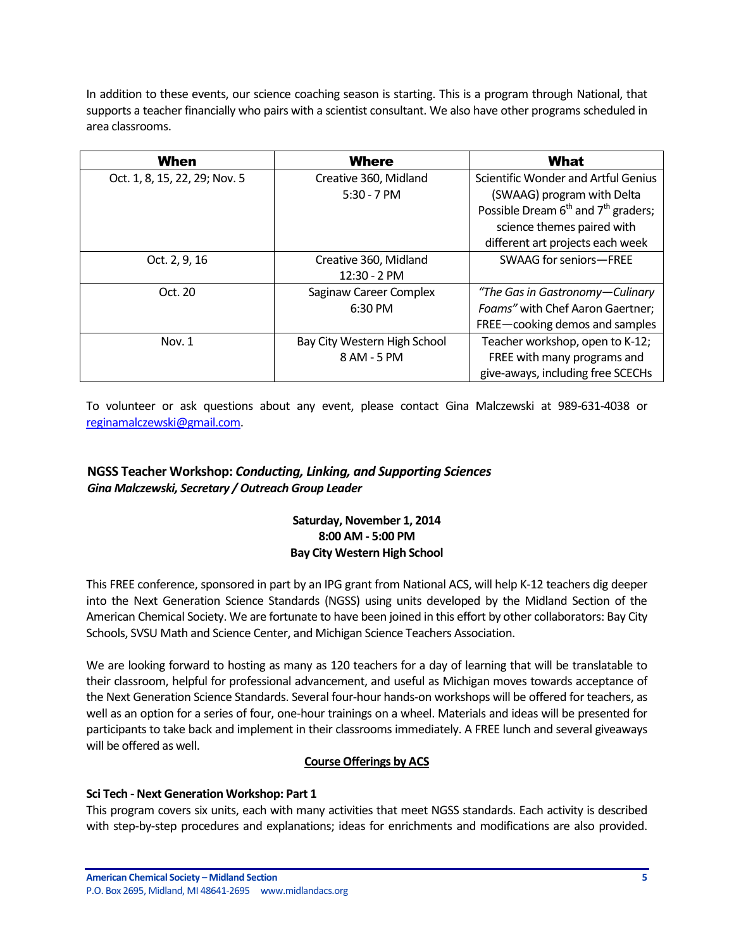In addition to these events, our science coaching season is starting. This is a program through National, that supports a teacher financially who pairs with a scientist consultant. We also have other programs scheduled in area classrooms.

| When                          | <b>Where</b>                 | <b>What</b>                                                 |
|-------------------------------|------------------------------|-------------------------------------------------------------|
| Oct. 1, 8, 15, 22, 29; Nov. 5 | Creative 360, Midland        | Scientific Wonder and Artful Genius                         |
|                               | $5:30 - 7$ PM                | (SWAAG) program with Delta                                  |
|                               |                              | Possible Dream 6 <sup>th</sup> and 7 <sup>th</sup> graders; |
|                               |                              | science themes paired with                                  |
|                               |                              | different art projects each week                            |
| Oct. 2, 9, 16                 | Creative 360, Midland        | SWAAG for seniors-FREE                                      |
|                               | 12:30 - 2 PM                 |                                                             |
| Oct. 20                       | Saginaw Career Complex       | "The Gas in Gastronomy-Culinary                             |
|                               | 6:30 PM                      | Foams" with Chef Aaron Gaertner;                            |
|                               |                              | FREE-cooking demos and samples                              |
| Nov. 1                        | Bay City Western High School | Teacher workshop, open to K-12;                             |
|                               | 8 AM - 5 PM                  | FREE with many programs and                                 |
|                               |                              | give-aways, including free SCECHs                           |

To volunteer or ask questions about any event, please contact Gina Malczewski at 989-631-4038 or [reginamalczewski@gmail.com.](mailto:reginamalczewski@gmail.com)

# <span id="page-4-0"></span>**NGSS Teacher Workshop:** *Conducting, Linking, and Supporting Sciences Gina Malczewski, Secretary / Outreach Group Leader*

# **Saturday, November 1, 2014 8:00 AM - 5:00 PM Bay City Western High School**

This FREE conference, sponsored in part by an IPG grant from National ACS, will help K-12 teachers dig deeper into the Next Generation Science Standards (NGSS) using units developed by the Midland Section of the American Chemical Society. We are fortunate to have been joined in this effort by other collaborators: Bay City Schools, SVSU Math and Science Center, and Michigan Science Teachers Association.

We are looking forward to hosting as many as 120 teachers for a day of learning that will be translatable to their classroom, helpful for professional advancement, and useful as Michigan moves towards acceptance of the Next Generation Science Standards. Several four-hour hands-on workshops will be offered for teachers, as well as an option for a series of four, one-hour trainings on a wheel. Materials and ideas will be presented for participants to take back and implement in their classrooms immediately. A FREE lunch and several giveaways will be offered as well.

# **Course Offerings by ACS**

# **Sci Tech - Next Generation Workshop: Part 1**

This program covers six units, each with many activities that meet NGSS standards. Each activity is described with step-by-step procedures and explanations; ideas for enrichments and modifications are also provided.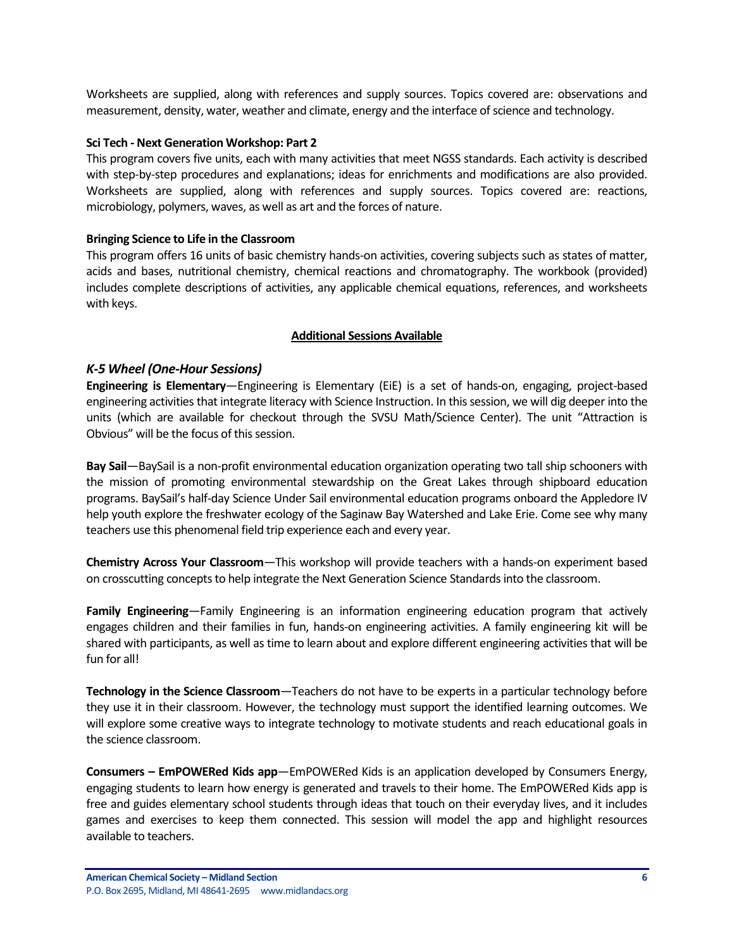Worksheets are supplied, along with references and supply sources. Topics covered are: observations and measurement, density, water, weather and climate, energy and the interface of science and technology.

#### **Sci Tech - Next Generation Workshop: Part 2**

This program covers five units, each with many activities that meet NGSS standards. Each activity is described with step-by-step procedures and explanations; ideas for enrichments and modifications are also provided. Worksheets are supplied, along with references and supply sources. Topics covered are: reactions, microbiology, polymers, waves, as well as art and the forces of nature.

#### **Bringing Science to Life in the Classroom**

This program offers 16 units of basic chemistry hands-on activities, covering subjects such as states of matter, acids and bases, nutritional chemistry, chemical reactions and chromatography. The workbook (provided) includes complete descriptions of activities, any applicable chemical equations, references, and worksheets with keys.

#### **Additional Sessions Available**

#### *K-5 Wheel (One-Hour Sessions)*

**Engineering is Elementary**—Engineering is Elementary (EiE) is a set of hands-on, engaging, project-based engineering activities that integrate literacy with Science Instruction. In this session, we will dig deeper into the units (which are available for checkout through the SVSU Math/Science Center). The unit "Attraction is Obvious" will be the focus of this session.

**Bay Sail**—BaySail is a non-profit environmental education organization operating two tall ship schooners with the mission of promoting environmental stewardship on the Great Lakes through shipboard education programs. BaySail's half-day Science Under Sail environmental education programs onboard the Appledore IV help youth explore the freshwater ecology of the Saginaw Bay Watershed and Lake Erie. Come see why many teachers use this phenomenal field trip experience each and every year.

**Chemistry Across Your Classroom**—This workshop will provide teachers with a hands-on experiment based on crosscutting concepts to help integrate the Next Generation Science Standards into the classroom.

**Family Engineering**—Family Engineering is an information engineering education program that actively engages children and their families in fun, hands-on engineering activities. A family engineering kit will be shared with participants, as well as time to learn about and explore different engineering activities that will be fun for all!

**Technology in the Science Classroom**—Teachers do not have to be experts in a particular technology before they use it in their classroom. However, the technology must support the identified learning outcomes. We will explore some creative ways to integrate technology to motivate students and reach educational goals in the science classroom.

**Consumers – EmPOWERed Kids app**—EmPOWERed Kids is an application developed by Consumers Energy, engaging students to learn how energy is generated and travels to their home. The EmPOWERed Kids app is free and guides elementary school students through ideas that touch on their everyday lives, and it includes games and exercises to keep them connected. This session will model the app and highlight resources available to teachers.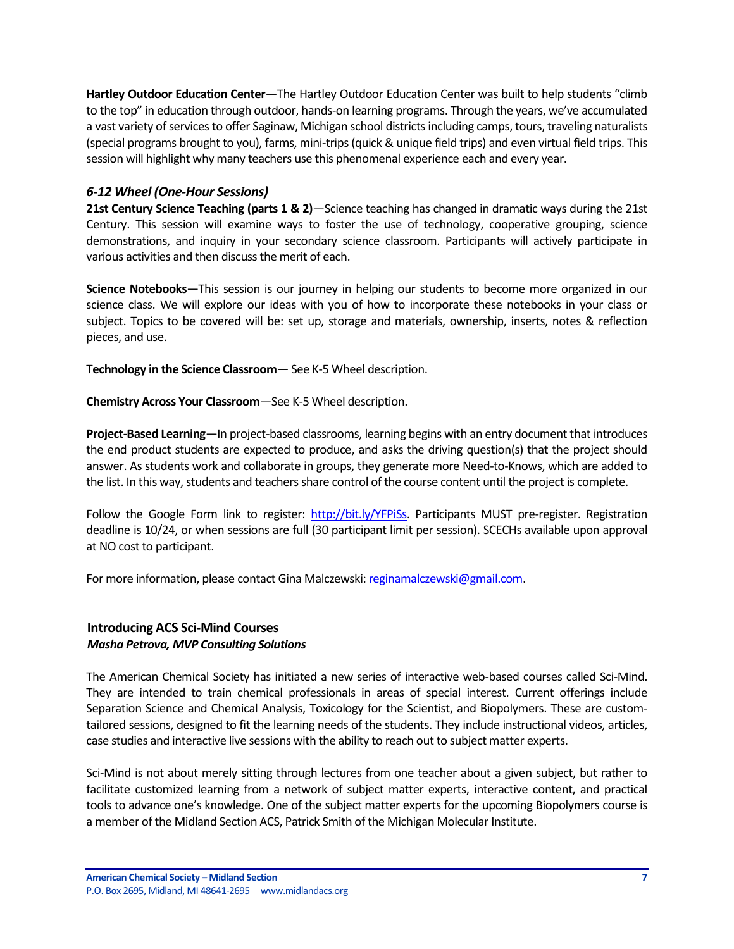**Hartley Outdoor Education Center**—The Hartley Outdoor Education Center was built to help students "climb to the top" in education through outdoor, hands-on learning programs. Through the years, we've accumulated a vast variety of services to offer Saginaw, Michigan school districts including camps, tours, traveling naturalists (special programs brought to you), farms, mini-trips (quick & unique field trips) and even virtual field trips. This session will highlight why many teachers use this phenomenal experience each and every year.

### *6-12 Wheel (One-Hour Sessions)*

**21st Century Science Teaching (parts 1 & 2)**—Science teaching has changed in dramatic ways during the 21st Century. This session will examine ways to foster the use of technology, cooperative grouping, science demonstrations, and inquiry in your secondary science classroom. Participants will actively participate in various activities and then discuss the merit of each.

**Science Notebooks**—This session is our journey in helping our students to become more organized in our science class. We will explore our ideas with you of how to incorporate these notebooks in your class or subject. Topics to be covered will be: set up, storage and materials, ownership, inserts, notes & reflection pieces, and use.

**Technology in the Science Classroom**— See K-5 Wheel description.

**Chemistry Across Your Classroom**—See K-5 Wheel description.

**Project-Based Learning**—In project-based classrooms, learning begins with an entry document that introduces the end product students are expected to produce, and asks the driving question(s) that the project should answer. As students work and collaborate in groups, they generate more Need-to-Knows, which are added to the list. In this way, students and teachers share control of the course content until the project is complete.

Follow the Google Form link to register: http://bit.ly/YFPISs. Participants MUST pre-register. Registration deadline is 10/24, or when sessions are full (30 participant limit per session). SCECHs available upon approval at NO cost to participant.

For more information, please contact Gina Malczewski: [reginamalczewski@gmail.com.](mailto:reginamalczewski@gmail.com)

### <span id="page-6-0"></span>**Introducing ACS Sci-Mind Courses** *Masha Petrova, MVP Consulting Solutions*

The American Chemical Society has initiated a new series of interactive web-based courses called Sci-Mind. They are intended to train chemical professionals in areas of special interest. Current offerings include Separation Science and Chemical Analysis, Toxicology for the Scientist, and Biopolymers. These are customtailored sessions, designed to fit the learning needs of the students. They include instructional videos, articles, case studies and interactive live sessions with the ability to reach out to subject matter experts.

Sci-Mind is not about merely sitting through lectures from one teacher about a given subject, but rather to facilitate customized learning from a network of subject matter experts, interactive content, and practical tools to advance one's knowledge. One of the subject matter experts for the upcoming Biopolymers course is a member of the Midland Section ACS, Patrick Smith of the Michigan Molecular Institute.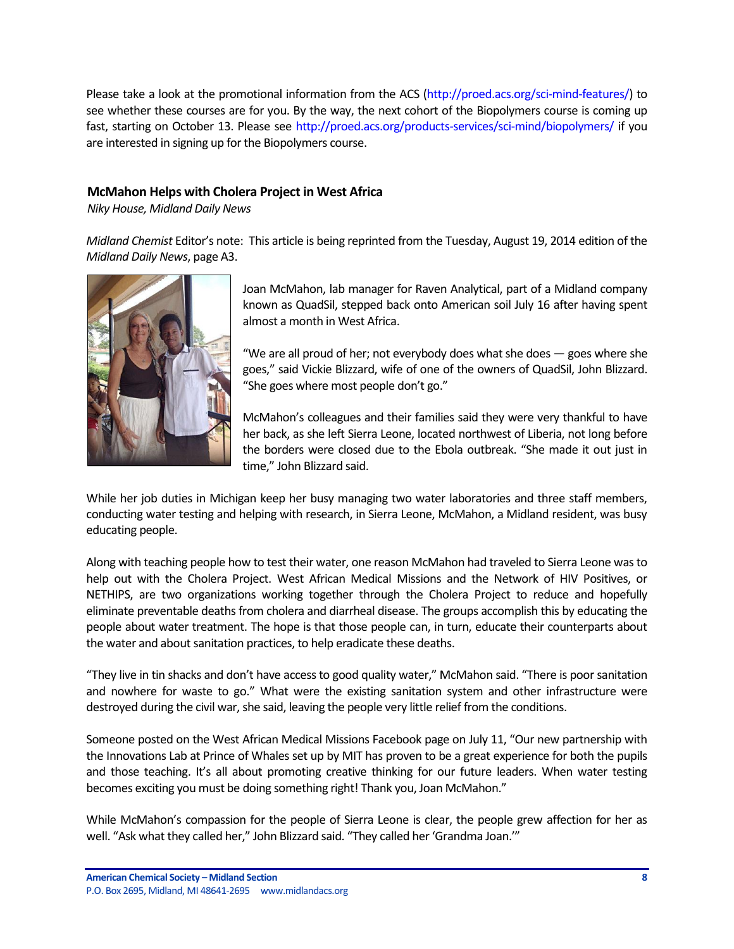Please take a look at the promotional information from the ACS [\(http://proed.acs.org/sci-mind-features/\)](http://proed.acs.org/sci-mind-features/) to see whether these courses are for you. By the way, the next cohort of the Biopolymers course is coming up fast, starting on October 13. Please see<http://proed.acs.org/products-services/sci-mind/biopolymers/> if you are interested in signing up for the Biopolymers course.

# <span id="page-7-0"></span>**McMahon Helps with Cholera Project in West Africa**

*Niky House, Midland Daily News*

*Midland Chemist* Editor's note: This article is being reprinted from the Tuesday, August 19, 2014 edition of the *Midland Daily News*, page A3.



Joan McMahon, lab manager for Raven Analytical, part of a Midland company known as QuadSil, stepped back onto American soil July 16 after having spent almost a month in West Africa.

"We are all proud of her; not everybody does what she does  $-$  goes where she goes," said Vickie Blizzard, wife of one of the owners of QuadSil, John Blizzard. "She goes where most people don't go."

McMahon's colleagues and their families said they were very thankful to have her back, as she left Sierra Leone, located northwest of Liberia, not long before the borders were closed due to the Ebola outbreak. "She made it out just in time," John Blizzard said.

While her job duties in Michigan keep her busy managing two water laboratories and three staff members, conducting water testing and helping with research, in Sierra Leone, McMahon, a Midland resident, was busy educating people.

Along with teaching people how to test their water, one reason McMahon had traveled to Sierra Leone was to help out with the Cholera Project. West African Medical Missions and the Network of HIV Positives, or NETHIPS, are two organizations working together through the Cholera Project to reduce and hopefully eliminate preventable deaths from cholera and diarrheal disease. The groups accomplish this by educating the people about water treatment. The hope is that those people can, in turn, educate their counterparts about the water and about sanitation practices, to help eradicate these deaths.

"They live in tin shacks and don't have access to good quality water," McMahon said. "There is poor sanitation and nowhere for waste to go." What were the existing sanitation system and other infrastructure were destroyed during the civil war, she said, leaving the people very little relief from the conditions.

Someone posted on the West African Medical Missions Facebook page on July 11, "Our new partnership with the Innovations Lab at Prince of Whales set up by MIT has proven to be a great experience for both the pupils and those teaching. It's all about promoting creative thinking for our future leaders. When water testing becomes exciting you must be doing something right! Thank you, Joan McMahon."

While McMahon's compassion for the people of Sierra Leone is clear, the people grew affection for her as well. "Ask what they called her," John Blizzard said. "They called her 'Grandma Joan.'"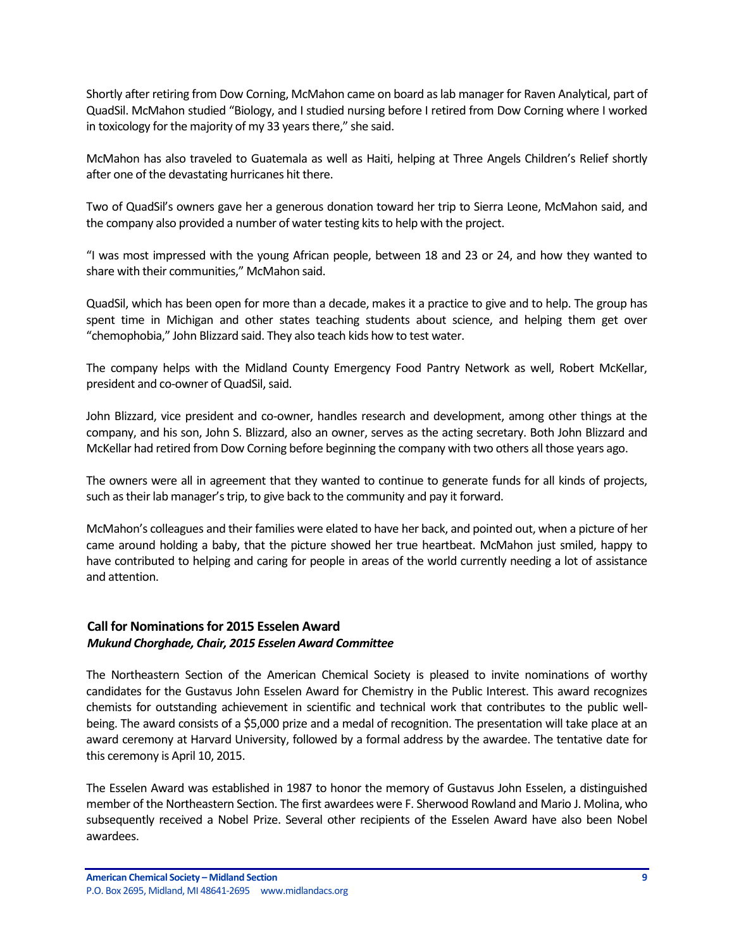Shortly after retiring from Dow Corning, McMahon came on board as lab manager for Raven Analytical, part of QuadSil. McMahon studied "Biology, and I studied nursing before I retired from Dow Corning where I worked in toxicology for the majority of my 33 years there," she said.

McMahon has also traveled to Guatemala as well as Haiti, helping at Three Angels Children's Relief shortly after one of the devastating hurricanes hit there.

Two of QuadSil's owners gave her a generous donation toward her trip to Sierra Leone, McMahon said, and the company also provided a number of water testing kits to help with the project.

"I was most impressed with the young African people, between 18 and 23 or 24, and how they wanted to share with their communities," McMahon said.

QuadSil, which has been open for more than a decade, makes it a practice to give and to help. The group has spent time in Michigan and other states teaching students about science, and helping them get over "chemophobia," John Blizzard said. They also teach kids how to test water.

The company helps with the Midland County Emergency Food Pantry Network as well, Robert McKellar, president and co-owner of QuadSil, said.

John Blizzard, vice president and co-owner, handles research and development, among other things at the company, and his son, John S. Blizzard, also an owner, serves as the acting secretary. Both John Blizzard and McKellar had retired from Dow Corning before beginning the company with two others all those years ago.

The owners were all in agreement that they wanted to continue to generate funds for all kinds of projects, such as their lab manager's trip, to give back to the community and pay it forward.

McMahon's colleagues and their families were elated to have her back, and pointed out, when a picture of her came around holding a baby, that the picture showed her true heartbeat. McMahon just smiled, happy to have contributed to helping and caring for people in areas of the world currently needing a lot of assistance and attention.

# <span id="page-8-0"></span>**Call for Nominations for 2015 Esselen Award** *Mukund Chorghade, Chair, 2015 Esselen Award Committee*

The Northeastern Section of the American Chemical Society is pleased to invite nominations of worthy candidates for the Gustavus John Esselen Award for Chemistry in the Public Interest. This award recognizes chemists for outstanding achievement in scientific and technical work that contributes to the public wellbeing. The award consists of a \$5,000 prize and a medal of recognition. The presentation will take place at an award ceremony at Harvard University, followed by a formal address by the awardee. The tentative date for this ceremony is April 10, 2015.

The Esselen Award was established in 1987 to honor the memory of Gustavus John Esselen, a distinguished member of the Northeastern Section. The first awardees were F. Sherwood Rowland and Mario J. Molina, who subsequently received a Nobel Prize. Several other recipients of the Esselen Award have also been Nobel awardees.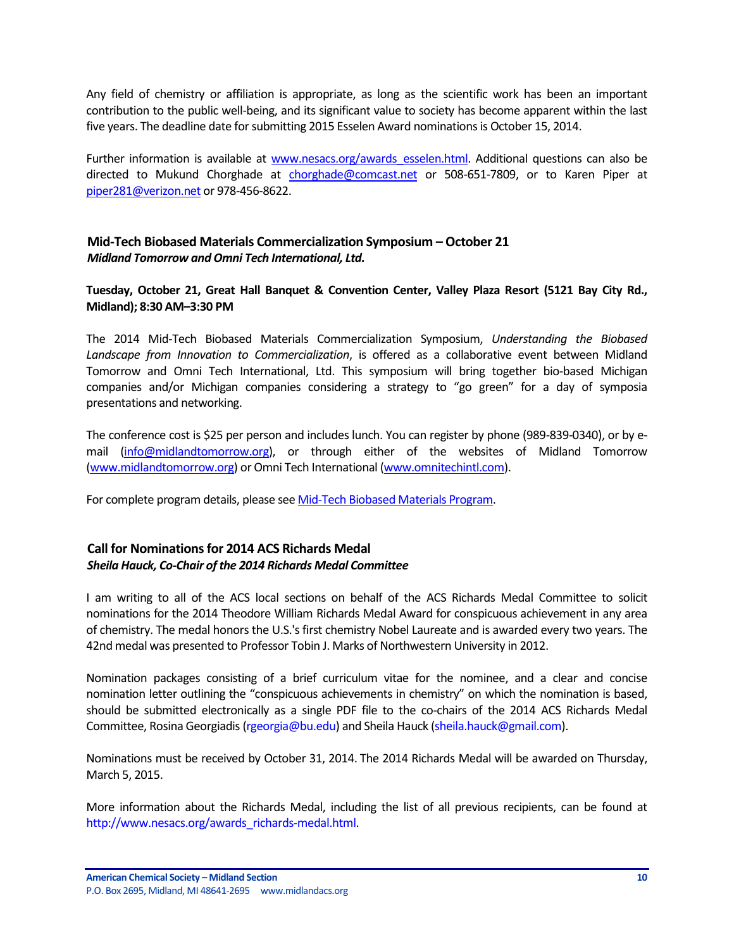Any field of chemistry or affiliation is appropriate, as long as the scientific work has been an important contribution to the public well-being, and its significant value to society has become apparent within the last five years. The deadline date for submitting 2015 Esselen Award nominations is October 15, 2014.

Further information is available at www.nesacs.org/awards esselen.html. Additional questions can also be directed to Mukund Chorghade at [chorghade@comcast.net](mailto:chorghade@comcast.net) or 508-651-7809, or to Karen Piper at [piper281@verizon.net](mailto:piper281@verizon.net) or 978-456-8622.

# <span id="page-9-0"></span>**Mid-Tech Biobased Materials Commercialization Symposium – October 21** *Midland Tomorrow and Omni Tech International, Ltd.*

**Tuesday, October 21, Great Hall Banquet & Convention Center, Valley Plaza Resort (5121 Bay City Rd., Midland); 8:30 AM–3:30 PM**

The 2014 Mid-Tech Biobased Materials Commercialization Symposium, *Understanding the Biobased Landscape from Innovation to Commercialization*, is offered as a collaborative event between Midland Tomorrow and Omni Tech International, Ltd. This symposium will bring together bio-based Michigan companies and/or Michigan companies considering a strategy to "go green" for a day of symposia presentations and networking.

The conference cost is \$25 per person and includes lunch. You can register by phone (989-839-0340), or by email [\(info@midlandtomorrow.org\)](mailto:info@midlandtomorrow.org), or through either of the websites of Midland Tomorrow [\(www.midlandtomorrow.org\)](http://www.midlandtomorrow.org/) or Omni Tech International [\(www.omnitechintl.com\)](http://www.omnitechintl.com/).

For complete program details, please se[e Mid-Tech Biobased Materials Program.](http://www.midlandtomorrow.org/media/docs/Agenda%20for%20Web%20Sites.pdf)

# <span id="page-9-1"></span>**Call for Nominations for 2014 ACS Richards Medal** *Sheila Hauck, Co-Chair of the 2014 Richards Medal Committee*

I am writing to all of the ACS local sections on behalf of the ACS Richards Medal Committee to solicit nominations for the 2014 Theodore William Richards Medal Award for conspicuous achievement in any area of chemistry. The medal honors the U.S.'s first chemistry Nobel Laureate and is awarded every two years. The 42nd medal was presented to Professor Tobin J. Marks of Northwestern University in 2012.

Nomination packages consisting of a brief curriculum vitae for the nominee, and a clear and concise nomination letter outlining the "conspicuous achievements in chemistry" on which the nomination is based, should be submitted electronically as a single PDF file to the co-chairs of the 2014 ACS Richards Medal Committee, Rosina Georgiadis [\(rgeorgia@bu.edu\)](mailto:rgeorgia@bu.edu) and Sheila Hauck [\(sheila.hauck@gmail.com\)](mailto:sheila.hauck@gmail.com).

Nominations must be received by October 31, 2014. The 2014 Richards Medal will be awarded on Thursday, March 5, 2015.

More information about the Richards Medal, including the list of all previous recipients, can be found at [http://www.nesacs.org/awards\\_richards-medal.html.](http://www.nesacs.org/awards_richards-medal.html)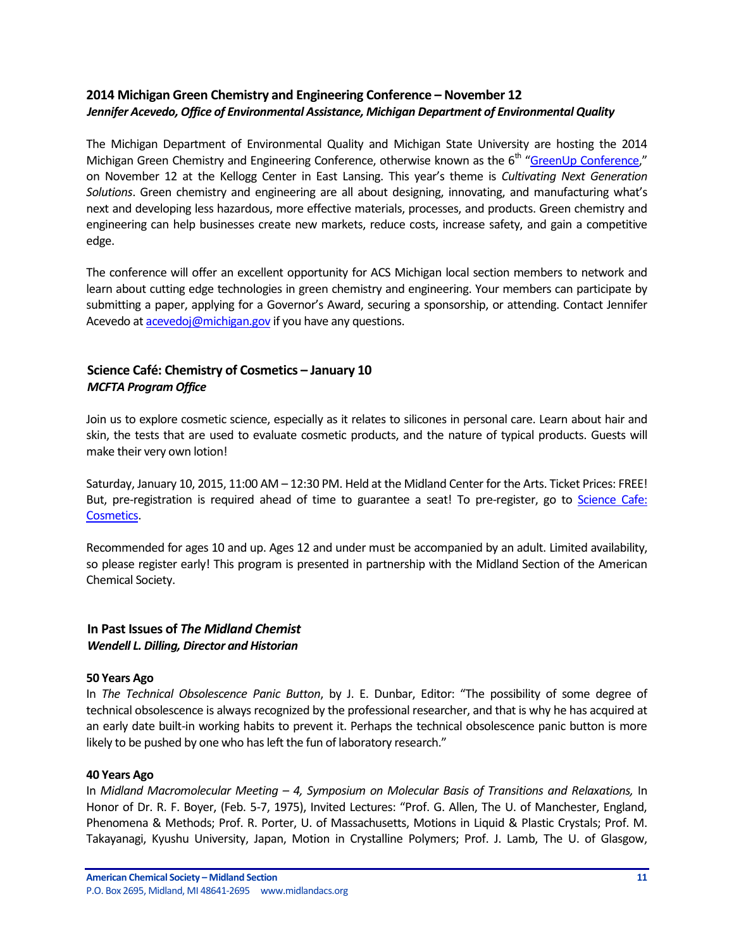# <span id="page-10-0"></span>**2014 Michigan Green Chemistry and Engineering Conference – November 12** *Jennifer Acevedo, Office of Environmental Assistance, Michigan Department of Environmental Quality*

The Michigan Department of Environmental Quality and Michigan State University are hosting the 2014 Michigan Green Chemistry and Engineering Conference, otherwise known as the 6<sup>th</sup> "[GreenUp Conference,](http://www.michigan.gov/deq/0,4561,7-135-3585_49005-329144--,00.html)" on November 12 at the Kellogg Center in East Lansing. This year's theme is *Cultivating Next Generation Solutions*. Green chemistry and engineering are all about designing, innovating, and manufacturing what's next and developing less hazardous, more effective materials, processes, and products. Green chemistry and engineering can help businesses create new markets, reduce costs, increase safety, and gain a competitive edge.

The conference will offer an excellent opportunity for ACS Michigan local section members to network and learn about cutting edge technologies in green chemistry and engineering. Your members can participate by submitting a paper, applying for a Governor's Award, securing a sponsorship, or attending. Contact Jennifer Acevedo a[t acevedoj@michigan.gov](mailto:acevedoj@michigan.gov) if you have any questions.

# <span id="page-10-1"></span>**Science Café: Chemistry of Cosmetics – January 10** *MCFTA Program Office*

Join us to explore cosmetic science, especially as it relates to silicones in personal care. Learn about hair and skin, the tests that are used to evaluate cosmetic products, and the nature of typical products. Guests will make their very own lotion!

Saturday, January 10, 2015, 11:00 AM – 12:30 PM. Held at the Midland Center for the Arts. Ticket Prices: FREE! But, pre-registration is required ahead of time to guarantee a seat! To pre-register, go to Science Cafe: [Cosmetics.](https://tickets.mcfta.org/checkout/step-1.aspx?id=19447)

Recommended for ages 10 and up. Ages 12 and under must be accompanied by an adult. Limited availability, so please register early! This program is presented in partnership with the Midland Section of the American Chemical Society.

### <span id="page-10-2"></span>**In Past Issues of** *The Midland Chemist Wendell L. Dilling, Director and Historian*

#### **50 Years Ago**

In *The Technical Obsolescence Panic Button*, by J. E. Dunbar, Editor: "The possibility of some degree of technical obsolescence is always recognized by the professional researcher, and that is why he has acquired at an early date built-in working habits to prevent it. Perhaps the technical obsolescence panic button is more likely to be pushed by one who has left the fun of laboratory research."

#### **40 Years Ago**

In *Midland Macromolecular Meeting – 4, Symposium on Molecular Basis of Transitions and Relaxations,* In Honor of Dr. R. F. Boyer, (Feb. 5-7, 1975), Invited Lectures: "Prof. G. Allen, The U. of Manchester, England, Phenomena & Methods; Prof. R. Porter, U. of Massachusetts, Motions in Liquid & Plastic Crystals; Prof. M. Takayanagi, Kyushu University, Japan, Motion in Crystalline Polymers; Prof. J. Lamb, The U. of Glasgow,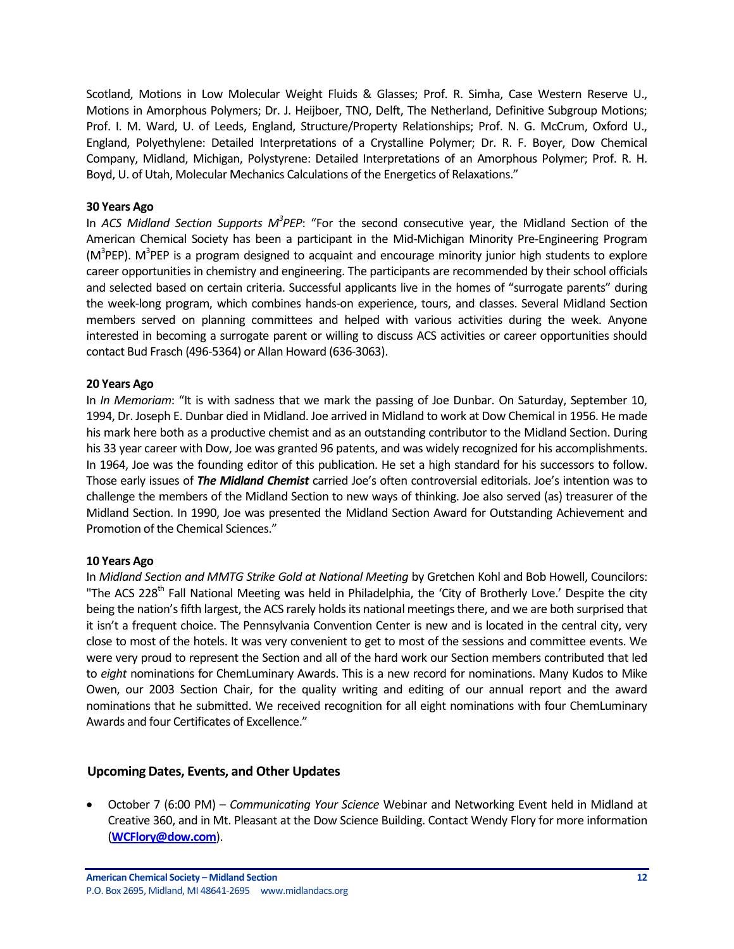Scotland, Motions in Low Molecular Weight Fluids & Glasses; Prof. R. Simha, Case Western Reserve U., Motions in Amorphous Polymers; Dr. J. Heijboer, TNO, Delft, The Netherland, Definitive Subgroup Motions; Prof. I. M. Ward, U. of Leeds, England, Structure/Property Relationships; Prof. N. G. McCrum, Oxford U., England, Polyethylene: Detailed Interpretations of a Crystalline Polymer; Dr. R. F. Boyer, Dow Chemical Company, Midland, Michigan, Polystyrene: Detailed Interpretations of an Amorphous Polymer; Prof. R. H. Boyd, U. of Utah, Molecular Mechanics Calculations of the Energetics of Relaxations."

#### **30 Years Ago**

In *ACS Midland Section Supports M<sup>3</sup> PEP*: "For the second consecutive year, the Midland Section of the American Chemical Society has been a participant in the Mid-Michigan Minority Pre-Engineering Program (M<sup>3</sup>PEP). M<sup>3</sup>PEP is a program designed to acquaint and encourage minority junior high students to explore career opportunities in chemistry and engineering. The participants are recommended by their school officials and selected based on certain criteria. Successful applicants live in the homes of "surrogate parents" during the week-long program, which combines hands-on experience, tours, and classes. Several Midland Section members served on planning committees and helped with various activities during the week. Anyone interested in becoming a surrogate parent or willing to discuss ACS activities or career opportunities should contact Bud Frasch (496-5364) or Allan Howard (636-3063).

#### **20 Years Ago**

In *In Memoriam*: "It is with sadness that we mark the passing of Joe Dunbar. On Saturday, September 10, 1994, Dr. Joseph E. Dunbar died in Midland. Joe arrived in Midland to work at Dow Chemical in 1956. He made his mark here both as a productive chemist and as an outstanding contributor to the Midland Section. During his 33 year career with Dow, Joe was granted 96 patents, and was widely recognized for his accomplishments. In 1964, Joe was the founding editor of this publication. He set a high standard for his successors to follow. Those early issues of *The Midland Chemist* carried Joe's often controversial editorials. Joe's intention was to challenge the members of the Midland Section to new ways of thinking. Joe also served (as) treasurer of the Midland Section. In 1990, Joe was presented the Midland Section Award for Outstanding Achievement and Promotion of the Chemical Sciences."

#### **10 Years Ago**

In *Midland Section and MMTG Strike Gold at National Meeting* by Gretchen Kohl and Bob Howell, Councilors: "The ACS 228<sup>th</sup> Fall National Meeting was held in Philadelphia, the 'City of Brotherly Love.' Despite the city being the nation's fifth largest, the ACS rarely holds its national meetings there, and we are both surprised that it isn't a frequent choice. The Pennsylvania Convention Center is new and is located in the central city, very close to most of the hotels. It was very convenient to get to most of the sessions and committee events. We were very proud to represent the Section and all of the hard work our Section members contributed that led to *eight* nominations for ChemLuminary Awards. This is a new record for nominations. Many Kudos to Mike Owen, our 2003 Section Chair, for the quality writing and editing of our annual report and the award nominations that he submitted. We received recognition for all eight nominations with four ChemLuminary Awards and four Certificates of Excellence."

#### <span id="page-11-0"></span>**Upcoming Dates, Events, and Other Updates**

 October 7 (6:00 PM) – *Communicating Your Science* Webinar and Networking Event held in Midland at Creative 360, and in Mt. Pleasant at the Dow Science Building. Contact Wendy Flory for more information (**[WCFlory@dow.com](mailto:WCFlory@dow.com)**).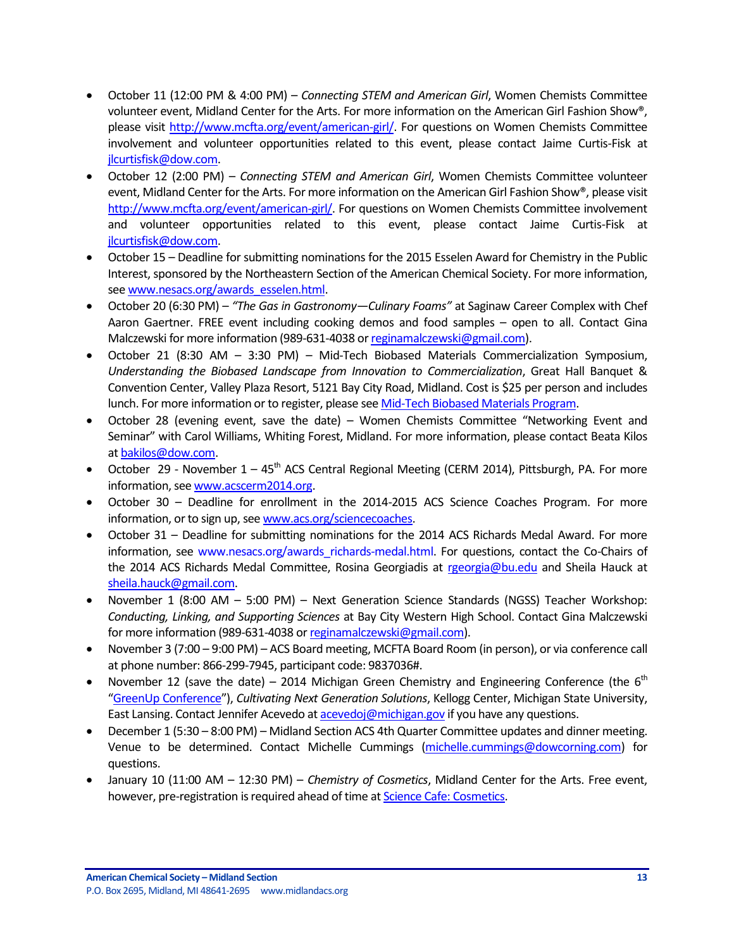- October 11 (12:00 PM & 4:00 PM) *Connecting STEM and American Girl*, Women Chemists Committee volunteer event, Midland Center for the Arts. For more information on the American Girl Fashion Show®, please visit [http://www.mcfta.org/event/american-girl/.](http://www.mcfta.org/event/american-girl/) For questions on Women Chemists Committee involvement and volunteer opportunities related to this event, please contact Jaime Curtis-Fisk at [jlcurtisfisk@dow.com.](mailto:jlcurtisfisk@dow.com)
- October 12 (2:00 PM) *Connecting STEM and American Girl*, Women Chemists Committee volunteer event, Midland Center for the Arts. For more information on the American Girl Fashion Show®, please visit [http://www.mcfta.org/event/american-girl/.](http://www.mcfta.org/event/american-girl/) For questions on Women Chemists Committee involvement and volunteer opportunities related to this event, please contact Jaime Curtis-Fisk at [jlcurtisfisk@dow.com.](mailto:jlcurtisfisk@dow.com)
- October 15 Deadline for submitting nominations for the 2015 Esselen Award for Chemistry in the Public Interest, sponsored by the Northeastern Section of the American Chemical Society. For more information, see [www.nesacs.org/awards\\_esselen.html.](http://www.nesacs.org/awards_esselen.html)
- October 20 (6:30 PM) *"The Gas in Gastronomy—Culinary Foams"* at Saginaw Career Complex with Chef Aaron Gaertner. FREE event including cooking demos and food samples – open to all. Contact Gina Malczewski for more information (989-631-4038 o[r reginamalczewski@gmail.com\)](mailto:reginamalczewski@gmail.com).
- October 21 (8:30 AM 3:30 PM) Mid-Tech Biobased Materials Commercialization Symposium, *Understanding the Biobased Landscape from Innovation to Commercialization*, Great Hall Banquet & Convention Center, Valley Plaza Resort, 5121 Bay City Road, Midland. Cost is \$25 per person and includes lunch. For more information or to register, please se[e Mid-Tech Biobased Materials Program.](http://www.midlandtomorrow.org/media/docs/Agenda%20for%20Web%20Sites.pdf)
- October 28 (evening event, save the date) Women Chemists Committee "Networking Event and Seminar" with Carol Williams, Whiting Forest, Midland. For more information, please contact Beata Kilos a[t bakilos@dow.com.](mailto:bakilos@dow.com)
- October 29 November  $1 45<sup>th</sup>$  ACS Central Regional Meeting (CERM 2014), Pittsburgh, PA. For more information, see [www.acscerm2014.org.](http://www.acscerm2014.org/)
- October 30 Deadline for enrollment in the 2014-2015 ACS Science Coaches Program. For more information, or to sign up, se[e www.acs.org/sciencecoaches.](http://www.acs.org/sciencecoaches)
- October 31 Deadline for submitting nominations for the 2014 ACS Richards Medal Award. For more information, see [www.nesacs.org/awards\\_richards-medal.html.](http://www.nesacs.org/awards_richards-medal.html) For questions, contact the Co-Chairs of the 2014 ACS Richards Medal Committee, Rosina Georgiadis at [rgeorgia@bu.edu](mailto:rgeorgia@bu.edu) and Sheila Hauck at [sheila.hauck@gmail.com.](mailto:sheila.hauck@gmail.com)
- November 1 (8:00 AM 5:00 PM) Next Generation Science Standards (NGSS) Teacher Workshop: *Conducting, Linking, and Supporting Sciences* at Bay City Western High School. Contact Gina Malczewski for more information (989-631-4038 o[r reginamalczewski@gmail.com\)](mailto:reginamalczewski@gmail.com).
- November 3 (7:00 9:00 PM) ACS Board meeting, MCFTA Board Room (in person), or via conference call at phone number: 866-299-7945, participant code: 9837036#.
- November 12 (save the date) 2014 Michigan Green Chemistry and Engineering Conference (the  $6<sup>th</sup>$ "[GreenUp Conference](http://www.michigan.gov/deq/0,4561,7-135-3585_49005-329144--,00.html)"), *Cultivating Next Generation Solutions*, Kellogg Center, Michigan State University, East Lansing. Contact Jennifer Acevedo a[t acevedoj@michigan.gov](mailto:acevedoj@michigan.gov) if you have any questions.
- December 1 (5:30 8:00 PM) Midland Section ACS 4th Quarter Committee updates and dinner meeting. Venue to be determined. Contact Michelle Cummings [\(michelle.cummings@dowcorning.com\)](mailto:michelle.cummings@dowcorning.com) for questions.
- January 10 (11:00 AM 12:30 PM) *Chemistry of Cosmetics*, Midland Center for the Arts. Free event, however, pre-registration is required ahead of time a[t Science Cafe: Cosmetics.](https://tickets.mcfta.org/checkout/step-1.aspx?id=19447)